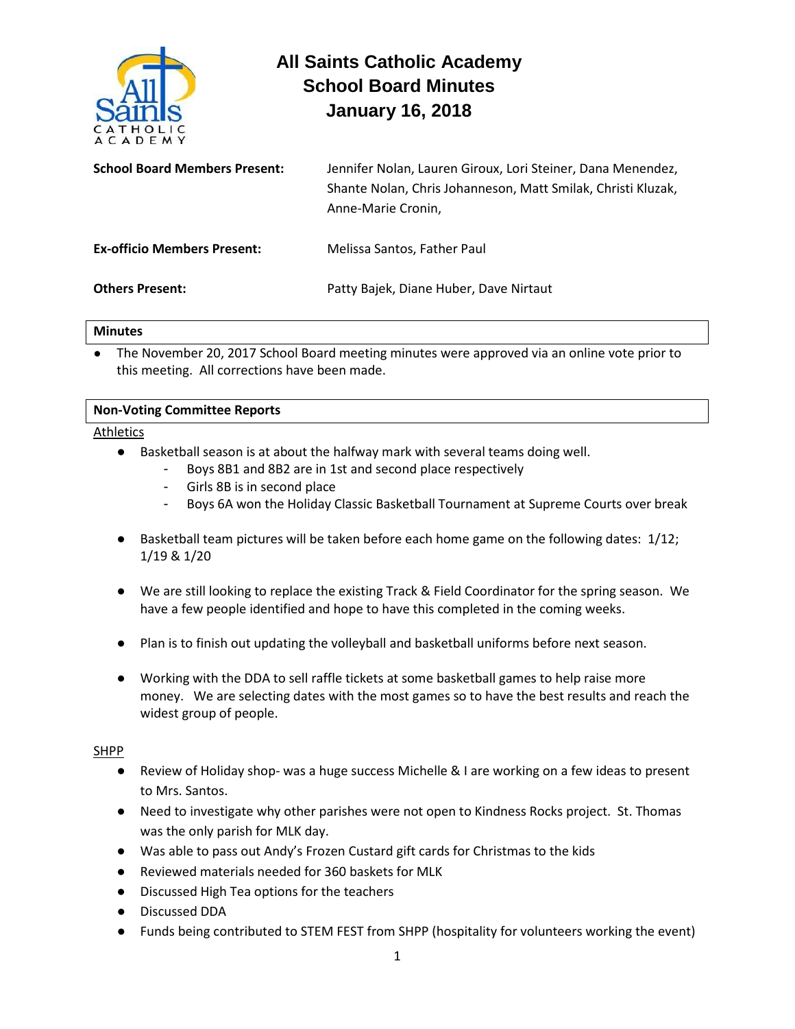

# **All Saints Catholic Academy School Board Minutes January 16, 2018**

| <b>School Board Members Present:</b> | Jennifer Nolan, Lauren Giroux, Lori Steiner, Dana Menendez,<br>Shante Nolan, Chris Johanneson, Matt Smilak, Christi Kluzak,<br>Anne-Marie Cronin, |
|--------------------------------------|---------------------------------------------------------------------------------------------------------------------------------------------------|
| <b>Ex-officio Members Present:</b>   | Melissa Santos, Father Paul                                                                                                                       |
| <b>Others Present:</b>               | Patty Bajek, Diane Huber, Dave Nirtaut                                                                                                            |

#### **Minutes**

The November 20, 2017 School Board meeting minutes were approved via an online vote prior to this meeting. All corrections have been made.

### Athletics

- Basketball season is at about the halfway mark with several teams doing well.
	- Boys 8B1 and 8B2 are in 1st and second place respectively
	- Girls 8B is in second place
	- Boys 6A won the Holiday Classic Basketball Tournament at Supreme Courts over break
- Basketball team pictures will be taken before each home game on the following dates: 1/12; 1/19 & 1/20
- We are still looking to replace the existing Track & Field Coordinator for the spring season. We have a few people identified and hope to have this completed in the coming weeks.
- Plan is to finish out updating the volleyball and basketball uniforms before next season.
- Working with the DDA to sell raffle tickets at some basketball games to help raise more money. We are selecting dates with the most games so to have the best results and reach the widest group of people.

### SHPP

- Review of Holiday shop- was a huge success Michelle & I are working on a few ideas to present to Mrs. Santos.
- Need to investigate why other parishes were not open to Kindness Rocks project. St. Thomas was the only parish for MLK day.
- Was able to pass out Andy's Frozen Custard gift cards for Christmas to the kids
- Reviewed materials needed for 360 baskets for MLK
- Discussed High Tea options for the teachers
- Discussed DDA
- Funds being contributed to STEM FEST from SHPP (hospitality for volunteers working the event)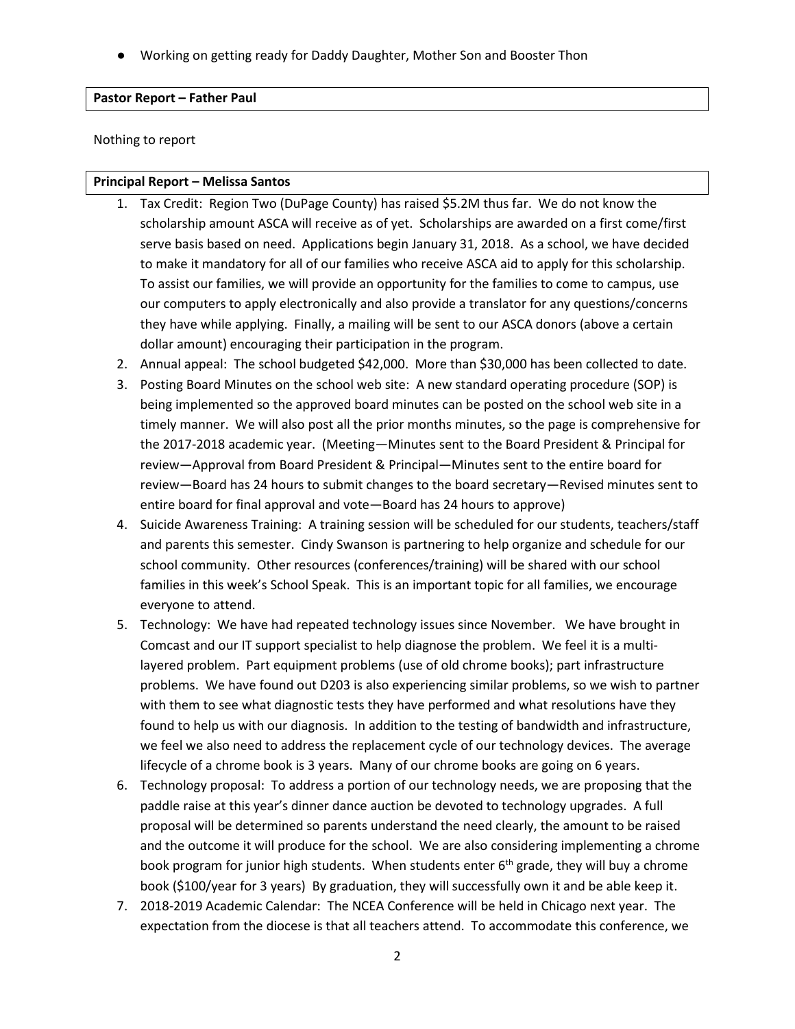Working on getting ready for Daddy Daughter, Mother Son and Booster Thon

#### **Pastor Report – Father Paul**

Nothing to report

#### **Principal Report – Melissa Santos**

- 1. Tax Credit: Region Two (DuPage County) has raised \$5.2M thus far. We do not know the scholarship amount ASCA will receive as of yet. Scholarships are awarded on a first come/first serve basis based on need. Applications begin January 31, 2018. As a school, we have decided to make it mandatory for all of our families who receive ASCA aid to apply for this scholarship. To assist our families, we will provide an opportunity for the families to come to campus, use our computers to apply electronically and also provide a translator for any questions/concerns they have while applying. Finally, a mailing will be sent to our ASCA donors (above a certain dollar amount) encouraging their participation in the program.
- 2. Annual appeal: The school budgeted \$42,000. More than \$30,000 has been collected to date.
- 3. Posting Board Minutes on the school web site: A new standard operating procedure (SOP) is being implemented so the approved board minutes can be posted on the school web site in a timely manner. We will also post all the prior months minutes, so the page is comprehensive for the 2017-2018 academic year. (Meeting—Minutes sent to the Board President & Principal for review—Approval from Board President & Principal—Minutes sent to the entire board for review—Board has 24 hours to submit changes to the board secretary—Revised minutes sent to entire board for final approval and vote—Board has 24 hours to approve)
- 4. Suicide Awareness Training: A training session will be scheduled for our students, teachers/staff and parents this semester. Cindy Swanson is partnering to help organize and schedule for our school community. Other resources (conferences/training) will be shared with our school families in this week's School Speak. This is an important topic for all families, we encourage everyone to attend.
- 5. Technology: We have had repeated technology issues since November. We have brought in Comcast and our IT support specialist to help diagnose the problem. We feel it is a multilayered problem. Part equipment problems (use of old chrome books); part infrastructure problems. We have found out D203 is also experiencing similar problems, so we wish to partner with them to see what diagnostic tests they have performed and what resolutions have they found to help us with our diagnosis. In addition to the testing of bandwidth and infrastructure, we feel we also need to address the replacement cycle of our technology devices. The average lifecycle of a chrome book is 3 years. Many of our chrome books are going on 6 years.
- 6. Technology proposal: To address a portion of our technology needs, we are proposing that the paddle raise at this year's dinner dance auction be devoted to technology upgrades. A full proposal will be determined so parents understand the need clearly, the amount to be raised and the outcome it will produce for the school. We are also considering implementing a chrome book program for junior high students. When students enter 6<sup>th</sup> grade, they will buy a chrome book (\$100/year for 3 years) By graduation, they will successfully own it and be able keep it.
- 7. 2018-2019 Academic Calendar: The NCEA Conference will be held in Chicago next year. The expectation from the diocese is that all teachers attend. To accommodate this conference, we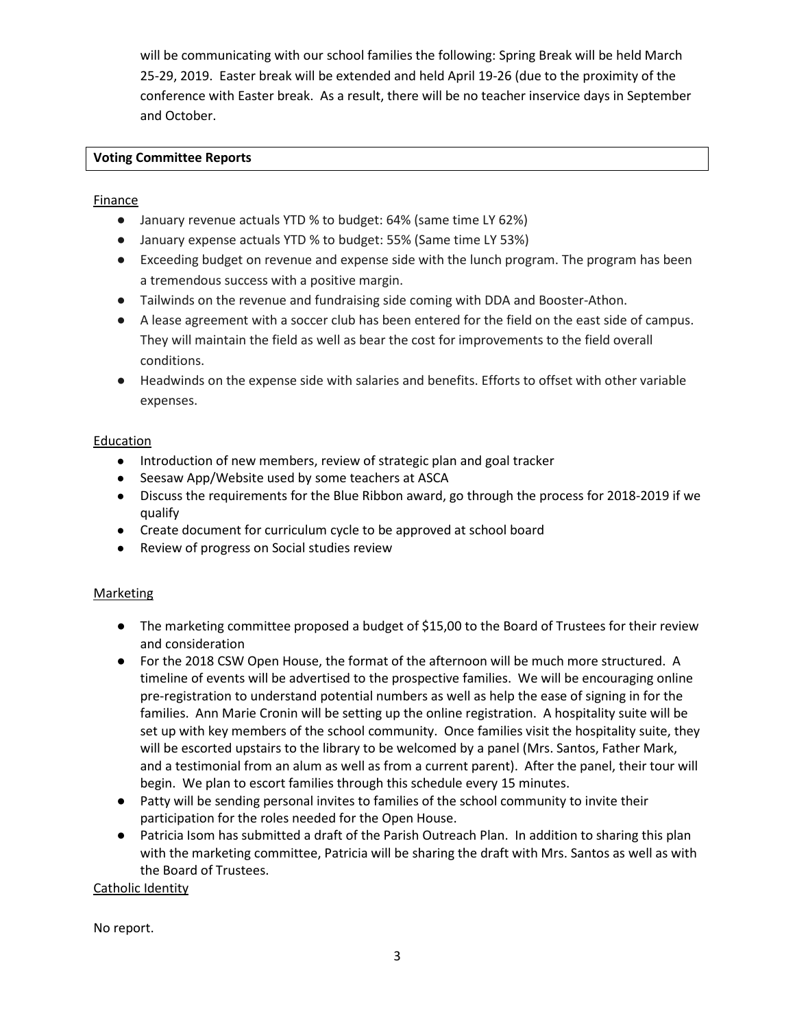will be communicating with our school families the following: Spring Break will be held March 25-29, 2019. Easter break will be extended and held April 19-26 (due to the proximity of the conference with Easter break. As a result, there will be no teacher inservice days in September and October.

## **Voting Committee Reports**

## **Finance**

- January revenue actuals YTD % to budget: 64% (same time LY 62%)
- January expense actuals YTD % to budget: 55% (Same time LY 53%)
- Exceeding budget on revenue and expense side with the lunch program. The program has been a tremendous success with a positive margin.
- Tailwinds on the revenue and fundraising side coming with DDA and Booster-Athon.
- A lease agreement with a soccer club has been entered for the field on the east side of campus. They will maintain the field as well as bear the cost for improvements to the field overall conditions.
- Headwinds on the expense side with salaries and benefits. Efforts to offset with other variable expenses.

## **Education**

- Introduction of new members, review of strategic plan and goal tracker
- Seesaw App/Website used by some teachers at ASCA
- Discuss the requirements for the Blue Ribbon award, go through the process for 2018-2019 if we qualify
- Create document for curriculum cycle to be approved at school board
- Review of progress on Social studies review

### **Marketing**

- The marketing committee proposed a budget of \$15,00 to the Board of Trustees for their review and consideration
- For the 2018 CSW Open House, the format of the afternoon will be much more structured. A timeline of events will be advertised to the prospective families. We will be encouraging online pre-registration to understand potential numbers as well as help the ease of signing in for the families. Ann Marie Cronin will be setting up the online registration. A hospitality suite will be set up with key members of the school community. Once families visit the hospitality suite, they will be escorted upstairs to the library to be welcomed by a panel (Mrs. Santos, Father Mark, and a testimonial from an alum as well as from a current parent). After the panel, their tour will begin. We plan to escort families through this schedule every 15 minutes.
- Patty will be sending personal invites to families of the school community to invite their participation for the roles needed for the Open House.
- Patricia Isom has submitted a draft of the Parish Outreach Plan. In addition to sharing this plan with the marketing committee, Patricia will be sharing the draft with Mrs. Santos as well as with the Board of Trustees.

Catholic Identity

No report.